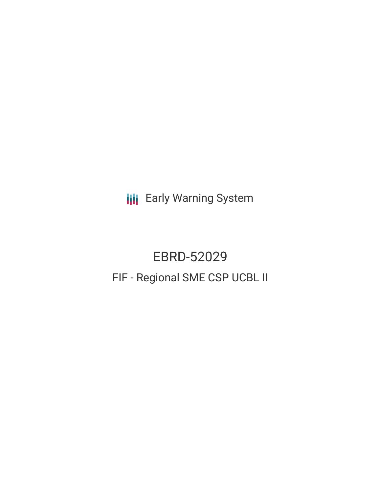**III** Early Warning System

# EBRD-52029 FIF - Regional SME CSP UCBL II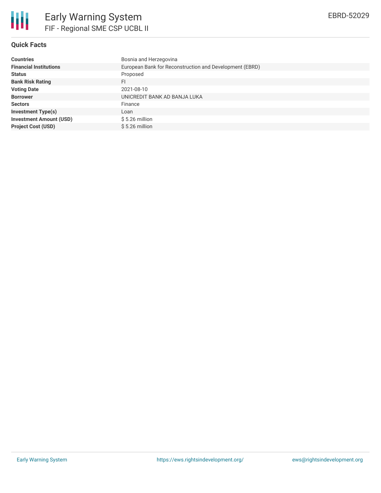

# **Quick Facts**

| <b>Countries</b>               | Bosnia and Herzegovina                                  |
|--------------------------------|---------------------------------------------------------|
| <b>Financial Institutions</b>  | European Bank for Reconstruction and Development (EBRD) |
| <b>Status</b>                  | Proposed                                                |
| <b>Bank Risk Rating</b>        | FI                                                      |
| <b>Voting Date</b>             | 2021-08-10                                              |
| <b>Borrower</b>                | UNICREDIT BANK AD BANJA LUKA                            |
| <b>Sectors</b>                 | Finance                                                 |
| <b>Investment Type(s)</b>      | Loan                                                    |
| <b>Investment Amount (USD)</b> | $$5.26$ million                                         |
| <b>Project Cost (USD)</b>      | $$5.26$ million                                         |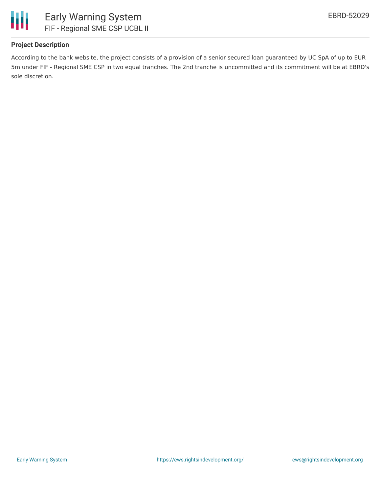

# **Project Description**

According to the bank website, the project consists of a provision of a senior secured loan guaranteed by UC SpA of up to EUR 5m under FIF - Regional SME CSP in two equal tranches. The 2nd tranche is uncommitted and its commitment will be at EBRD's sole discretion.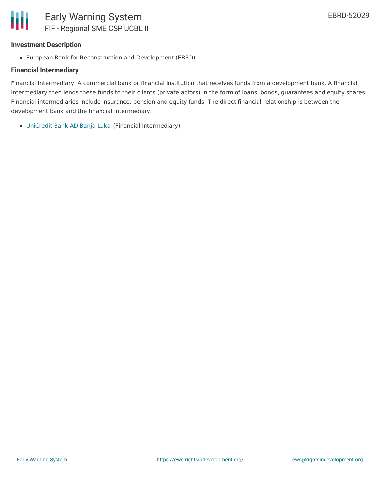

#### **Investment Description**

European Bank for Reconstruction and Development (EBRD)

### **Financial Intermediary**

Financial Intermediary: A commercial bank or financial institution that receives funds from a development bank. A financial intermediary then lends these funds to their clients (private actors) in the form of loans, bonds, guarantees and equity shares. Financial intermediaries include insurance, pension and equity funds. The direct financial relationship is between the development bank and the financial intermediary.

[UniCredit](file:///actor/3664/) Bank AD Banja Luka (Financial Intermediary)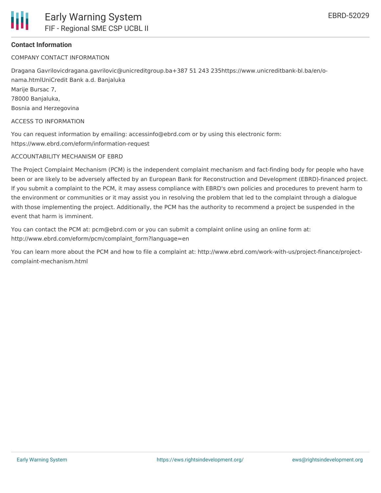

### **Contact Information**

COMPANY CONTACT INFORMATION

Dragana Gavrilovicdragana.gavrilovic@unicreditgroup.ba+387 51 243 235https://www.unicreditbank-bl.ba/en/onama.htmlUniCredit Bank a.d. Banjaluka

Marije Bursac 7, 78000 Banjaluka,

Bosnia and Herzegovina

ACCESS TO INFORMATION

You can request information by emailing: accessinfo@ebrd.com or by using this electronic form: https://www.ebrd.com/eform/information-request

#### ACCOUNTABILITY MECHANISM OF EBRD

The Project Complaint Mechanism (PCM) is the independent complaint mechanism and fact-finding body for people who have been or are likely to be adversely affected by an European Bank for Reconstruction and Development (EBRD)-financed project. If you submit a complaint to the PCM, it may assess compliance with EBRD's own policies and procedures to prevent harm to the environment or communities or it may assist you in resolving the problem that led to the complaint through a dialogue with those implementing the project. Additionally, the PCM has the authority to recommend a project be suspended in the event that harm is imminent.

You can contact the PCM at: pcm@ebrd.com or you can submit a complaint online using an online form at: http://www.ebrd.com/eform/pcm/complaint\_form?language=en

You can learn more about the PCM and how to file a complaint at: http://www.ebrd.com/work-with-us/project-finance/projectcomplaint-mechanism.html